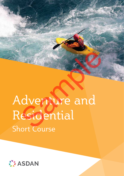# Adventure and Residential Short Course dventure and<br>esidential

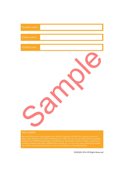| Student name: |  |
|---------------|--|
| Centre name:  |  |
| ASDAN tutor:  |  |
|               |  |

#### DISCLAIMER:

data under the terms of the Data Protection Act 1998. The use of such information as portfolio evidence for ASDAN Programmes or Qualifications will require centres to obtain consent from students, parents and carers. ASDAN does not pass on, or use in any way, materials provided by centres, unless given permission to do so for publicity or training purposes

©ASDAN 2016 All Rights Reserved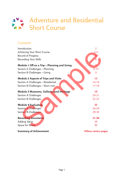# Adventure and Residential Short Course

#### **Contents**

| Introduction                                | $\overline{2}$ |
|---------------------------------------------|----------------|
| Achieving Your Short Course                 | $3-4$          |
| Record of Progress                          | 5              |
| Recording Your Skills                       | 6              |
| Module 1 Off on a Trip - Planning and Going |                |
| Section A Challenges - Planning             | $8 - 10$       |
| Section B Challenges - Going                | 11             |
| <b>Module 2 Aspects of Trips and Visits</b> | 13             |
| Section A Challenges - Residential          | 14-16          |
| Section B Challenges - Short visit          | $17 - 18$      |
| Module 3 Museums, Galleries and Heritage    | 19             |
| Section A Challenges                        | $20 - 21$      |
| <b>Section B Challenges</b>                 | $22 - 23$      |
| <b>Module 4 Evaluation</b>                  | 25             |
| <b>Section A Challenges</b>                 | 26-28          |
| Section B Challenges                        | 29-30          |
| <b>Recording Documents</b>                  | 31-38          |
| <b>Adding Value</b>                         | 39             |
| Space for Notes                             | 40             |

**Summary of Achievement**

**Yellow centre pages**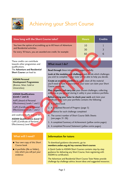

# Achieving your Short Course

| How long will the Short Course take?                                                                                                                                                                              | <b>Hours</b>                                                                                                                                                                                                                                                                                                                                                                                  | Credits     |  |  |
|-------------------------------------------------------------------------------------------------------------------------------------------------------------------------------------------------------------------|-----------------------------------------------------------------------------------------------------------------------------------------------------------------------------------------------------------------------------------------------------------------------------------------------------------------------------------------------------------------------------------------------|-------------|--|--|
| You have the option of accrediting up to 60 hours of Adventure<br>and Residential activities.<br>For every 10 hours, you are awarded one credit, for example:                                                     | 10<br>30<br>60                                                                                                                                                                                                                                                                                                                                                                                | 1<br>3<br>6 |  |  |
| These credits can contribute<br>towards other programmes and<br>qualifications.                                                                                                                                   | What must I do?                                                                                                                                                                                                                                                                                                                                                                               |             |  |  |
| The Adventure and Residential<br><b>Short Course can lead to:</b>                                                                                                                                                 | Read through these introductory pages carefully.<br>Look at the modules and challenges and decide which challenges<br>you wish to complete $\sim$ your tutor will be able to help you decide.                                                                                                                                                                                                 |             |  |  |
| <b>ASDAN Personal</b><br><b>Development Programmes</b><br>(Bronze, Silver, Gold or<br>Universities)                                                                                                               | Create an evidence portfolio to safely store all the material<br>you'll need to have in place before your tutor can claim your Short<br>Course certificate.<br>Plan, organise and carry out your chosen challenges, collecting                                                                                                                                                                |             |  |  |
| <b>ASDAN Qualifications</b><br>(Levels 1 and 2)<br>AoPE (Award of Personal<br>Effectiveness) Levels 1 and 2<br>CoPE (Certificate of Personal<br>Effectiveness) Levels 1 and 2<br>and could eventually lead on to: | evidence as you go and storing it safely in your evidence portfolio.<br>Before asking your tutor to check your work and claim your<br>certificate make sure your portfolio contains the following:<br>1. A student book<br>2. A completed Record of Progress (page 5)<br>3. Evidence for each challenge completed<br>4. The correct number of Short Course Skills Sheets<br>(see pages 31-38) |             |  |  |
| <b>ASDAN Qualifications (Level 3)</b><br>CoPE (Certificate of Personal<br>Effectiveness) Level 3                                                                                                                  | 5. A completed Summary of Achievement (yellow centre pages)<br>6. A completed Personal Statement (yellow centre pages)                                                                                                                                                                                                                                                                        |             |  |  |

#### **ASDAN Qualifications (Levels 1 and 2)**

#### **What will I need?**

- $\blacksquare$  Your own copy of this Short Course book
- $\blacksquare$  A portfolio (file or folder), into which you will put your evidence

#### **What must I do?**

#### 1. A student book

- 2. A completed Record of Progress (page 5)
- 3. Evidence for each challenge completed
- 4. The correct number of Short Course Skills Sheets (see pages 31-38)
- 5. A completed Summary of Achievement (yellow centre pages)
- 6. A completed Personal Statement (yellow centre pages)

#### **Information for tutors**

To download guidance documents, go to: **members.asdan.org.uk/my-courses/short-courses**

A Quick Guide to ASDAN Short Courses contains step-by-step guidance for delivering any Short Course, from registering with ASDAN to certification.

The Adventure and Residential Short Course Tutor Notes provide challenge-by-challenge advice, lesson ideas and suggested resources.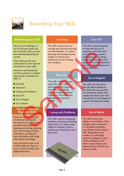

# Recording Your Skills

#### **Recording your skills**

Next to each challenge is a set of tick boxes where you can record the skills you have been developing during the activity.

These help you link your achievements to the national standards for these skills.

Adventure and Residential activities provide an excellent opportunity to develop the skills of:

- $\blacksquare$  Learning
- Teamwork
- Goping with Problems
- Use of IT
- Use of English
- $\blacksquare$  Use of Maths

#### **The importance of Key/Core Skills**

These are an everyday part of adult and working life. You need to be able to make yourself understood when speaking and writing, planning your own learning, working with others, carrying out basic calculations and using information technology.

Every job needs some or all of these skills and they are just as useful in Further and Higher Education.

#### **Learning**

This skill is about how you manage your personal learning and development. It is about planning and working towards targets to improve your performance and reviewing your progress.

#### **Teamwork**

This skill is about how you work with others when planning and carrying out activities to get things done and achieving shared objectives. This will involve working with a group of people. Coping to the skills you have a more of the skills you have and development. It is about the members cannot the transis of the material to the national your progress.<br>
This skill is about the skill is about the members of

#### **Coping with Problems**

This skill is about recognising problems and doing something about them. It is about using different methods to find a solution and checking to see if they work.



#### **Use of IT**

This skill is about being able to make the best use of computers and other items such as printers, scanners and digital cameras. Being familiar with how to use this equipment is vitally important, not only in the workplace but also in the home.

#### **Use of English**

This skill is not only about how you talk to people but also about the ways you find out information and let other people know about your views and opinions. It also includes all aspects of writing and reading.

#### **Use of Maths**

This skill is about your ability to use numbers. If, for example, you've measured or calculated something you will have used numeracy skills. Being able to use numbers is a skill highly valued by employers; many of the challenges in this Short Course will give you opportunity to practise your numeracy skills.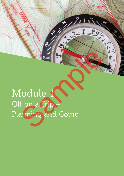# Module 1 Off on a Trip – Planning and Going Sample of the Contract of the Contract of Contract of the Contract of Contract of the Contract of Contract of the Contract of Contract of Contract of Contract of Contract of Contract of Contract of Contract of Contract of

 $320$ 

 $\sigma$ 

**VAO** 

 $-60$ 

**PARTY REGISTERED BOOM ASSESSMENT REGISTER**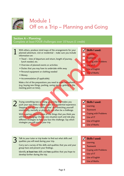

### Module 1 Off on a Trip – Planning and Going

#### **Section A – Planning:**

Complete at least FOUR challenges over 10 hours (1 credit)

- With others, produce mind maps of the arrangements for your planned adventure, visit or residential – make sure you include information on: With others, produce mind maps of the arrangements for your<br>planned adventure, visit or residential – make sure you include<br>information on:
	- Travel time of departure and return, length of journey, lunch needed, etc.
	- Overview of planned events or activities
	- Duties that you may have to undertake while away
	- Personal equipment or clothing needed
	- Money
	- Accommodation (if applicable)

Make a list of the preparations you need to make beforehand (e.g. buying new things, packing, saving money, getting to the meeting point on time).

- 
- **Learning**
- Teamwork
- Coping with Problems
- Use of **IT**
- Use of English
- Use of Maths

Trying something new or doing an activity that makes you push your own limits is often a part of a residential experience. Stepping 'out of your comfort zone' and stretching yourself emotionally, mentally or physically can often be a challenge. 2 Trying something new or doing an activity that makes you push your own limits is often a part of a residential experience.<br>Stepping jout of your comfort zone' and stratching yourself With a partner discussion of the analysis of the control of the control of the Chapter of the Chapter of the Chapter of the Chapter of the Chapter of the Chapter of the Chapter of the Chapter of the Chapter of the Chapter

With a partner, discuss some of the things that you think you will find challenging. Choose one situation each and role play different strategies to help you face the challenge. Say which strategies you will use on your trip.

- Learning
- **Teamwork**
- Coping with Problems
- Use of IT
- Use of English
- Use of Maths

Talk to your tutor or trip leader to find out what skills and **Skills I used:**<br> **3** qualities you will need during your trip.<br> **1** Learning qualities you will need during your trip.

Carry out a survey of the skills and qualities that you and your group have and present your findings.

Identify **at least two** skills and **two** qualities that you hope to develop further during the trip.

- Learning **Teamwork** Coping with Problems Use of IT
- Use of English
- Use of Maths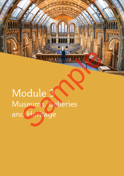$1 - 1 - 1 =$ 

# Module 3 Museums, Galleries and Heritage Samment

**Maria Tia**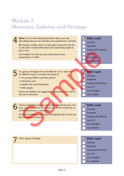## Module 3 Museums, Galleries and Heritage



- Use of IT
- Use of English

#### Use of Maths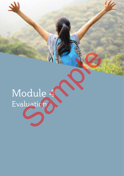# Module 4 Evaluation MENO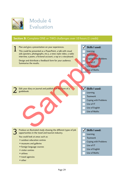

### Module 4 Evaluation

#### **Section B:** Complete ONE or TWO challenges over 10 hours (1 credit)

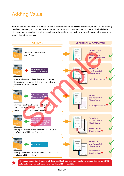# Adding Value

Your Adventure and Residential Short Course is recognised with an ASDAN certificate, and has a credit rating to reflect the time you have spent on adventure and residential activities. This course can also be linked to other programmes and qualifications, which add value and give you further options for continuing to develop your skills and experience.



Page 39